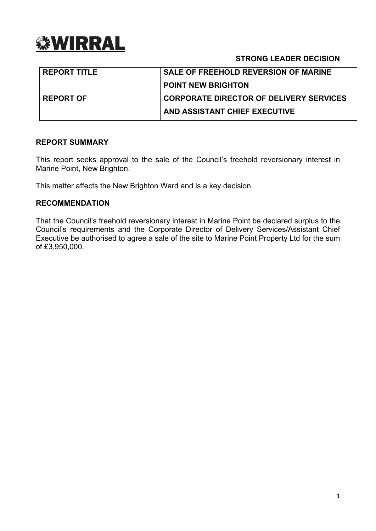

## **STRONG LEADER DECISION**

| <b>REPORT TITLE</b> | <b>SALE OF FREEHOLD REVERSION OF MARINE</b>    |
|---------------------|------------------------------------------------|
|                     | <b>POINT NEW BRIGHTON</b>                      |
| <b>REPORT OF</b>    | <b>CORPORATE DIRECTOR OF DELIVERY SERVICES</b> |
|                     | AND ASSISTANT CHIEF EXECUTIVE                  |

#### **REPORT SUMMARY**

This report seeks approval to the sale of the Council's freehold reversionary interest in Marine Point, New Brighton.

This matter affects the New Brighton Ward and is a key decision.

#### **RECOMMENDATION**

That the Council's freehold reversionary interest in Marine Point be declared surplus to the Council's requirements and the Corporate Director of Delivery Services/Assistant Chief Executive be authorised to agree a sale of the site to Marine Point Property Ltd for the sum of £3,950,000.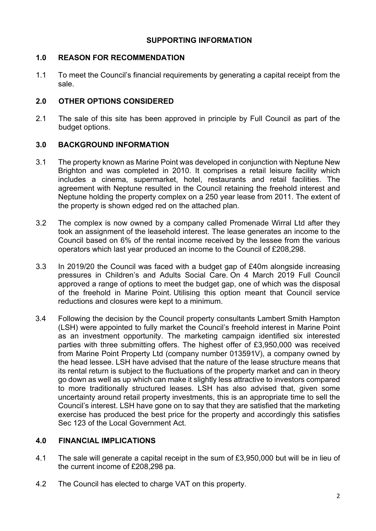### **SUPPORTING INFORMATION**

## **1.0 REASON FOR RECOMMENDATION**

1.1 To meet the Council's financial requirements by generating a capital receipt from the sale.

## **2.0 OTHER OPTIONS CONSIDERED**

2.1 The sale of this site has been approved in principle by Full Council as part of the budget options.

## **3.0 BACKGROUND INFORMATION**

- 3.1 The property known as Marine Point was developed in conjunction with Neptune New Brighton and was completed in 2010. It comprises a retail leisure facility which includes a cinema, supermarket, hotel, restaurants and retail facilities. The agreement with Neptune resulted in the Council retaining the freehold interest and Neptune holding the property complex on a 250 year lease from 2011. The extent of the property is shown edged red on the attached plan.
- 3.2 The complex is now owned by a company called Promenade Wirral Ltd after they took an assignment of the leasehold interest. The lease generates an income to the Council based on 6% of the rental income received by the lessee from the various operators which last year produced an income to the Council of £208,298.
- 3.3 In 2019/20 the Council was faced with a budget gap of £40m alongside increasing pressures in Children's and Adults Social Care. On 4 March 2019 Full Council approved a range of options to meet the budget gap, one of which was the disposal of the freehold in Marine Point. Utilising this option meant that Council service reductions and closures were kept to a minimum.
- 3.4 Following the decision by the Council property consultants Lambert Smith Hampton (LSH) were appointed to fully market the Council's freehold interest in Marine Point as an investment opportunity. The marketing campaign identified six interested parties with three submitting offers. The highest offer of £3,950,000 was received from Marine Point Property Ltd (company number 013591V), a company owned by the head lessee. LSH have advised that the nature of the lease structure means that its rental return is subject to the fluctuations of the property market and can in theory go down as well as up which can make it slightly less attractive to investors compared to more traditionally structured leases. LSH has also advised that, given some uncertainty around retail property investments, this is an appropriate time to sell the Council's interest. LSH have gone on to say that they are satisfied that the marketing exercise has produced the best price for the property and accordingly this satisfies Sec 123 of the Local Government Act.

# **4.0 FINANCIAL IMPLICATIONS**

- 4.1 The sale will generate a capital receipt in the sum of £3,950,000 but will be in lieu of the current income of £208,298 pa.
- 4.2 The Council has elected to charge VAT on this property.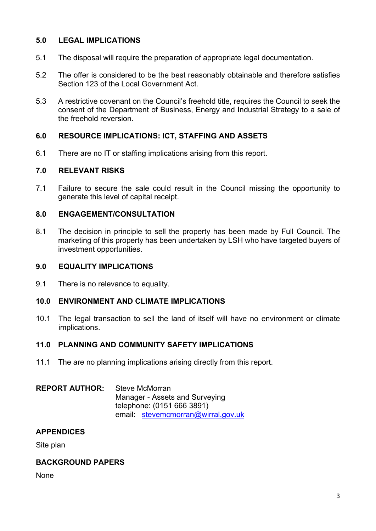## **5.0 LEGAL IMPLICATIONS**

- 5.1 The disposal will require the preparation of appropriate legal documentation.
- 5.2 The offer is considered to be the best reasonably obtainable and therefore satisfies Section 123 of the Local Government Act.
- 5.3 A restrictive covenant on the Council's freehold title, requires the Council to seek the consent of the Department of Business, Energy and Industrial Strategy to a sale of the freehold reversion.

## **6.0 RESOURCE IMPLICATIONS: ICT, STAFFING AND ASSETS**

6.1 There are no IT or staffing implications arising from this report.

#### **7.0 RELEVANT RISKS**

7.1 Failure to secure the sale could result in the Council missing the opportunity to generate this level of capital receipt.

#### **8.0 ENGAGEMENT/CONSULTATION**

8.1 The decision in principle to sell the property has been made by Full Council. The marketing of this property has been undertaken by LSH who have targeted buyers of investment opportunities.

#### **9.0 EQUALITY IMPLICATIONS**

9.1 There is no relevance to equality.

## **10.0 ENVIRONMENT AND CLIMATE IMPLICATIONS**

10.1 The legal transaction to sell the land of itself will have no environment or climate implications.

#### **11.0 PLANNING AND COMMUNITY SAFETY IMPLICATIONS**

11.1 The are no planning implications arising directly from this report.

#### **REPORT AUTHOR:** Steve McMorran Manager - Assets and Surveying telephone: (0151 666 3891) email: [stevemcmorran@wirral.gov.uk](mailto:stevemcmorran@wirral.gov.uk)

#### **APPENDICES**

Site plan

## **BACKGROUND PAPERS**

**None**